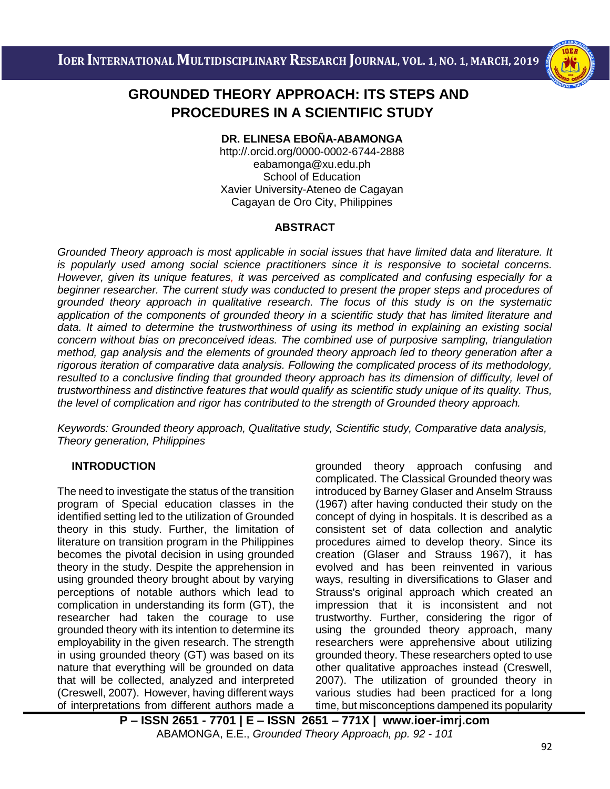

# i<br>I  **PROCEDURES IN A SCIENTIFIC STUDY GROUNDED THEORY APPROACH: ITS STEPS AND**

**DR. ELINESA EBOÑA-ABAMONGA**

http://.orcid.org/0000-0002-6744-2888 [eabamonga@xu.edu.ph](mailto:eabamonga@xu.edu.ph) School of Education Xavier University-Ateneo de Cagayan Cagayan de Oro City, Philippines

### **ABSTRACT**

*Grounded Theory approach is most applicable in social issues that have limited data and literature. It is popularly used among social science practitioners since it is responsive to societal concerns. However, given its unique features, it was perceived as complicated and confusing especially for a beginner researcher. The current study was conducted to present the proper steps and procedures of grounded theory approach in qualitative research. The focus of this study is on the systematic application of the components of grounded theory in a scientific study that has limited literature and data. It aimed to determine the trustworthiness of using its method in explaining an existing social concern without bias on preconceived ideas. The combined use of purposive sampling, triangulation method, gap analysis and the elements of grounded theory approach led to theory generation after a rigorous iteration of comparative data analysis. Following the complicated process of its methodology, resulted to a conclusive finding that grounded theory approach has its dimension of difficulty, level of trustworthiness and distinctive features that would qualify as scientific study unique of its quality. Thus, the level of complication and rigor has contributed to the strength of Grounded theory approach.*

*Keywords: Grounded theory approach, Qualitative study, Scientific study, Comparative data analysis, Theory generation, Philippines*

## **INTRODUCTION**

The need to investigate the status of the transition program of Special education classes in the identified setting led to the utilization of Grounded theory in this study. Further, the limitation of literature on transition program in the Philippines becomes the pivotal decision in using grounded theory in the study. Despite the apprehension in using grounded theory brought about by varying perceptions of notable authors which lead to complication in understanding its form (GT), the researcher had taken the courage to use grounded theory with its intention to determine its employability in the given research. The strength in using grounded theory (GT) was based on its nature that everything will be grounded on data that will be collected, analyzed and interpreted (Creswell, 2007). However, having different ways of interpretations from different authors made a grounded theory approach confusing and complicated. The Classical Grounded theory was introduced by Barney Glaser and Anselm Strauss (1967) after having conducted their study on the concept of dying in hospitals. It is described as a consistent set of data collection and analytic procedures aimed to develop theory. Since its creation (Glaser and Strauss 1967), it has evolved and has been reinvented in various ways, resulting in diversifications to Glaser and Strauss's original approach which created an impression that it is inconsistent and not trustworthy. Further, considering the rigor of using the grounded theory approach, many researchers were apprehensive about utilizing grounded theory. These researchers opted to use other qualitative approaches instead (Creswell, 2007). The utilization of grounded theory in various studies had been practiced for a long time, but misconceptions dampened its popularity

**P – ISSN 2651 - 7701 | E – ISSN 2651 – 771X | [www.ioer-imrj.com](http://www.ioer-imrj.com/)** ABAMONGA, E.E., *Grounded Theory Approach, pp. 92 - 101*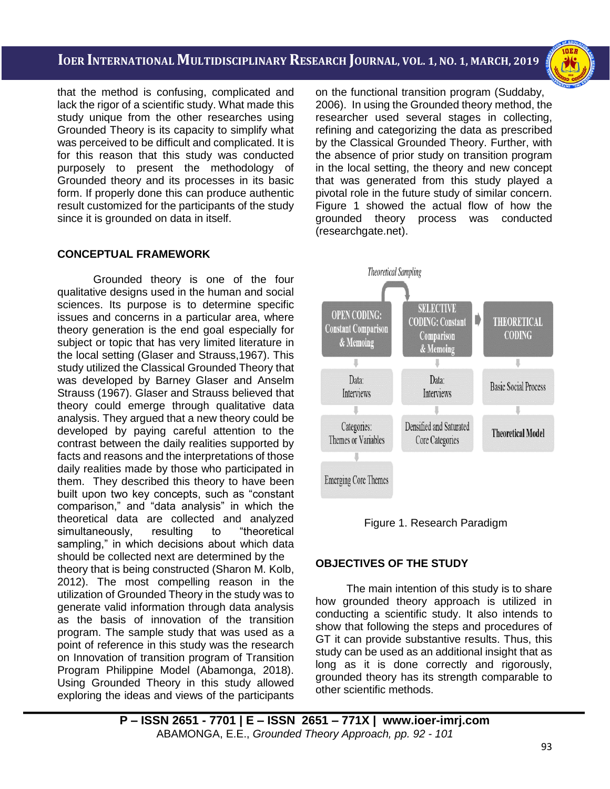i<br>I

that the method is confusing, complicated and lack the rigor of a scientific study. What made this study unique from the other researches using Grounded Theory is its capacity to simplify what was perceived to be difficult and complicated. It is for this reason that this study was conducted purposely to present the methodology of Grounded theory and its processes in its basic form. If properly done this can produce authentic result customized for the participants of the study since it is grounded on data in itself.

#### **CONCEPTUAL FRAMEWORK**

Grounded theory is one of the four qualitative designs used in the human and social sciences. Its purpose is to determine specific issues and concerns in a particular area, where theory generation is the end goal especially for subject or topic that has very limited literature in the local setting (Glaser and Strauss,1967). This study utilized the Classical Grounded Theory that was developed by Barney Glaser and Anselm Strauss (1967). Glaser and Strauss believed that theory could emerge through qualitative data analysis. They argued that a new theory could be developed by paying careful attention to the contrast between the daily realities supported by facts and reasons and the interpretations of those daily realities made by those who participated in them. They described this theory to have been built upon two key concepts, such as "constant comparison," and "data analysis" in which the theoretical data are collected and analyzed simultaneously, resulting to "theoretical sampling," in which decisions about which data should be collected next are determined by the theory that is being constructed (Sharon M. Kolb, 2012). The most compelling reason in the utilization of Grounded Theory in the study was to generate valid information through data analysis as the basis of innovation of the transition program. The sample study that was used as a point of reference in this study was the research on Innovation of transition program of Transition Program Philippine Model (Abamonga, 2018). Using Grounded Theory in this study allowed exploring the ideas and views of the participants on the functional transition program (Suddaby, 2006). In using the Grounded theory method, the researcher used several stages in collecting, refining and categorizing the data as prescribed by the Classical Grounded Theory. Further, with the absence of prior study on transition program in the local setting, the theory and new concept that was generated from this study played a pivotal role in the future study of similar concern. Figure 1 showed the actual flow of how the grounded theory process was conducted (researchgate.net).





### **OBJECTIVES OF THE STUDY**

The main intention of this study is to share how grounded theory approach is utilized in conducting a scientific study. It also intends to show that following the steps and procedures of GT it can provide substantive results. Thus, this study can be used as an additional insight that as long as it is done correctly and rigorously, grounded theory has its strength comparable to other scientific methods.

**P – ISSN 2651 - 7701 | E – ISSN 2651 – 771X | [www.ioer-imrj.com](http://www.ioer-imrj.com/)** ABAMONGA, E.E., *Grounded Theory Approach, pp. 92 - 101*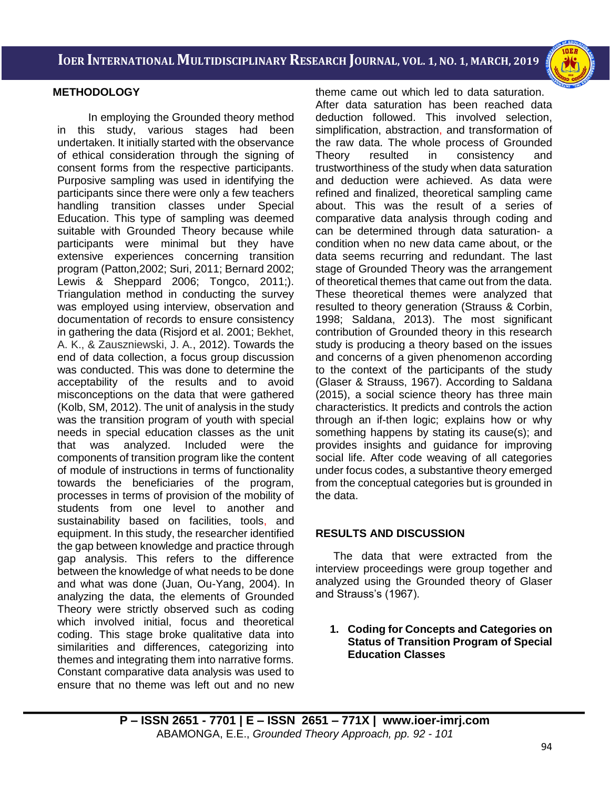

i<br>I



### **METHODOLOGY**

In employing the Grounded theory method in this study, various stages had been undertaken. It initially started with the observance of ethical consideration through the signing of consent forms from the respective participants. Purposive sampling was used in identifying the participants since there were only a few teachers handling transition classes under Special Education. This type of sampling was deemed suitable with Grounded Theory because while participants were minimal but they have extensive experiences concerning transition program (Patton, 2002; Suri, 2011; Bernard 2002: Lewis & Sheppard 2006: Tongco, 2011;). Triangulation method in conducting the survey was employed using interview, observation and documentation of records to ensure consistency in gathering the data (Risjord et al. 2001; Bekhet, A. K., & Zauszniewski, J. A., 2012). Towards the end of data collection, a focus group discussion was conducted. This was done to determine the acceptability of the results and to avoid misconceptions on the data that were gathered (Kolb, SM, 2012). The unit of analysis in the study was the transition program of youth with special needs in special education classes as the unit that was analyzed. Included were the components of transition program like the content of module of instructions in terms of functionality towards the beneficiaries of the program, processes in terms of provision of the mobility of students from one level to another and sustainability based on facilities, tools, and equipment. In this study, the researcher identified the gap between knowledge and practice through gap analysis. This refers to the difference between the knowledge of what needs to be done and what was done (Juan, Ou-Yang, 2004). In analyzing the data, the elements of Grounded Theory were strictly observed such as coding which involved initial, focus and theoretical coding. This stage broke qualitative data into similarities and differences, categorizing into themes and integrating them into narrative forms. Constant comparative data analysis was used to ensure that no theme was left out and no new theme came out which led to data saturation. After data saturation has been reached data deduction followed. This involved selection, simplification, abstraction, and transformation of the raw data. The whole process of Grounded Theory resulted in consistency and trustworthiness of the study when data saturation and deduction were achieved. As data were refined and finalized, theoretical sampling came about. This was the result of a series of comparative data analysis through coding and can be determined through data saturation- a condition when no new data came about, or the data seems recurring and redundant. The last stage of Grounded Theory was the arrangement of theoretical themes that came out from the data. These theoretical themes were analyzed that resulted to theory generation (Strauss & Corbin, 1998; Saldana, 2013). The most significant contribution of Grounded theory in this research study is producing a theory based on the issues and concerns of a given phenomenon according to the context of the participants of the study (Glaser & Strauss, 1967). According to Saldana (2015), a social science theory has three main characteristics. It predicts and controls the action through an if-then logic; explains how or why something happens by stating its cause(s); and provides insights and guidance for improving social life. After code weaving of all categories under focus codes, a substantive theory emerged from the conceptual categories but is grounded in the data.

### **RESULTS AND DISCUSSION**

The data that were extracted from the interview proceedings were group together and analyzed using the Grounded theory of Glaser and Strauss's (1967).

**1. Coding for Concepts and Categories on Status of Transition Program of Special Education Classes**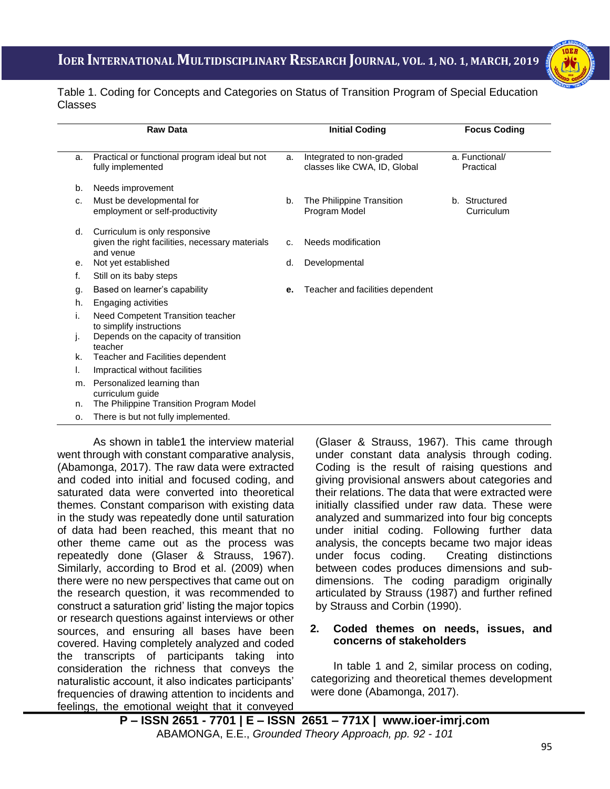

i<br>I Table 1. Coding for Concepts and Categories on Status of Transition Program of Special Education Classes

| <b>Raw Data</b> |                                                                                               | <b>Initial Coding</b> |                                                          | <b>Focus Coding</b>         |  |
|-----------------|-----------------------------------------------------------------------------------------------|-----------------------|----------------------------------------------------------|-----------------------------|--|
| a.              | Practical or functional program ideal but not<br>fully implemented                            | a.                    | Integrated to non-graded<br>classes like CWA, ID, Global | a. Functional/<br>Practical |  |
| b.              | Needs improvement                                                                             |                       |                                                          |                             |  |
| c.              | Must be developmental for<br>employment or self-productivity                                  | b.                    | The Philippine Transition<br>Program Model               | b. Structured<br>Curriculum |  |
| d.              | Curriculum is only responsive<br>given the right facilities, necessary materials<br>and venue | C.                    | Needs modification                                       |                             |  |
| е.              | Not yet established                                                                           | d.                    | Developmental                                            |                             |  |
| f.              | Still on its baby steps                                                                       |                       |                                                          |                             |  |
| g.              | Based on learner's capability                                                                 | е.                    | Teacher and facilities dependent                         |                             |  |
| h.              | Engaging activities                                                                           |                       |                                                          |                             |  |
| i.              | Need Competent Transition teacher<br>to simplify instructions                                 |                       |                                                          |                             |  |
| J.              | Depends on the capacity of transition<br>teacher                                              |                       |                                                          |                             |  |
| k.              | Teacher and Facilities dependent                                                              |                       |                                                          |                             |  |
| ı.              | Impractical without facilities                                                                |                       |                                                          |                             |  |
| m.              | Personalized learning than<br>curriculum guide                                                |                       |                                                          |                             |  |
| n.              | The Philippine Transition Program Model                                                       |                       |                                                          |                             |  |
| 0.              | There is but not fully implemented.                                                           |                       |                                                          |                             |  |

As shown in table1 the interview material went through with constant comparative analysis, (Abamonga, 2017). The raw data were extracted and coded into initial and focused coding, and saturated data were converted into theoretical themes. Constant comparison with existing data in the study was repeatedly done until saturation of data had been reached, this meant that no other theme came out as the process was repeatedly done [\(Glaser & Strauss, 1967\).](http://qhr.sagepub.com/content/5/2/147.extract) Similarly, according to Brod et al. (2009) when there were no new perspectives that came out on the research question, it was recommended to construct a saturation grid' listing the major topics or research questions against interviews or other sources, and ensuring all bases have been covered. Having completely analyzed and coded the transcripts of participants taking into consideration the richness that conveys the naturalistic account, it also indicates participants' frequencies of drawing attention to incidents and feelings, the emotional weight that it conveyed

(Glaser & Strauss, 1967). This came through under constant data analysis through coding. Coding is the result of raising questions and giving provisional answers about categories and their relations. The data that were extracted were initially classified under raw data. These were analyzed and summarized into four big concepts under initial coding. Following further data analysis, the concepts became two major ideas under focus coding. Creating distinctions between codes produces dimensions and subdimensions. The coding paradigm originally articulated by Strauss (1987) and further refined by Strauss and Corbin (1990).

#### **2. Coded themes on needs, issues, and concerns of stakeholders**

In table 1 and 2, similar process on coding, categorizing and theoretical themes development were done (Abamonga, 2017).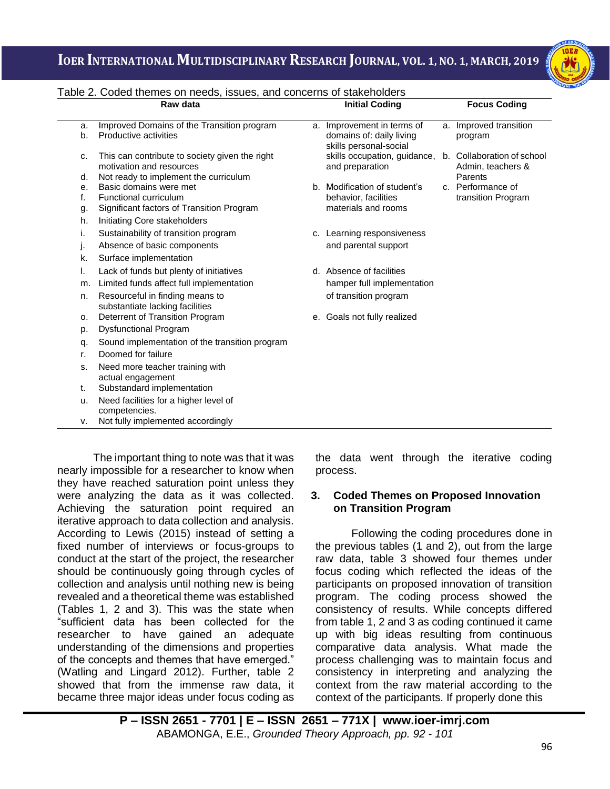

|          | Raw data                                                                                                            | <b>Initial Coding</b>                                                            | <b>Focus Coding</b>               |
|----------|---------------------------------------------------------------------------------------------------------------------|----------------------------------------------------------------------------------|-----------------------------------|
| a.<br>b. | Improved Domains of the Transition program<br>Productive activities                                                 | a. Improvement in terms of<br>domains of: daily living<br>skills personal-social | a. Improved transition<br>program |
| c.<br>d. | This can contribute to society given the right<br>motivation and resources<br>Not ready to implement the curriculum | skills occupation, guidance, b. Collaboration of school<br>and preparation       | Admin, teachers &<br>Parents      |
| е.       | Basic domains were met                                                                                              | b. Modification of student's                                                     | c. Performance of                 |
| f.       | Functional curriculum                                                                                               | behavior, facilities                                                             | transition Program                |
| g.       | Significant factors of Transition Program                                                                           | materials and rooms                                                              |                                   |
| h.       | Initiating Core stakeholders                                                                                        |                                                                                  |                                   |
| i.       | Sustainability of transition program                                                                                | c. Learning responsiveness                                                       |                                   |
| j.       | Absence of basic components                                                                                         | and parental support                                                             |                                   |
| k.       | Surface implementation                                                                                              |                                                                                  |                                   |
| I.       | Lack of funds but plenty of initiatives                                                                             | d. Absence of facilities                                                         |                                   |
| m.       | Limited funds affect full implementation                                                                            | hamper full implementation                                                       |                                   |
| n.       | Resourceful in finding means to<br>substantiate lacking facilities                                                  | of transition program                                                            |                                   |
| о.       | Deterrent of Transition Program                                                                                     | e. Goals not fully realized                                                      |                                   |
| p.       | <b>Dysfunctional Program</b>                                                                                        |                                                                                  |                                   |
| q.       | Sound implementation of the transition program                                                                      |                                                                                  |                                   |
| r.       | Doomed for failure                                                                                                  |                                                                                  |                                   |
| s.       | Need more teacher training with<br>actual engagement                                                                |                                                                                  |                                   |
| t.       | Substandard implementation                                                                                          |                                                                                  |                                   |
| u.       | Need facilities for a higher level of                                                                               |                                                                                  |                                   |
| v.       | competencies.<br>Not fully implemented accordingly                                                                  |                                                                                  |                                   |

i<br>I Table 2. Coded themes on needs, issues, and concerns of stakeholders

The important thing to note was that it was nearly impossible for a researcher to know when they have reached saturation point unless they were analyzing the data as it was collected. Achieving the saturation point required an iterative approach to data collection and analysis. According to Lewis (2015) instead of setting a fixed number of interviews or focus-groups to conduct at the start of the project, the researcher should be continuously going through cycles of collection and analysis until nothing new is being revealed and a theoretical theme was established (Tables 1, 2 and 3). This was the state when "sufficient data has been collected for the researcher to have gained an adequate understanding of the dimensions and properties of the concepts and themes that have emerged." (Watling and Lingard 2012). Further, table 2 showed that from the immense raw data, it became three major ideas under focus coding as the data went through the iterative coding process.

#### **3. Coded Themes on Proposed Innovation on Transition Program**

Following the coding procedures done in the previous tables (1 and 2), out from the large raw data, table 3 showed four themes under focus coding which reflected the ideas of the participants on proposed innovation of transition program. The coding process showed the consistency of results. While concepts differed from table 1, 2 and 3 as coding continued it came up with big ideas resulting from continuous comparative data analysis. What made the process challenging was to maintain focus and consistency in interpreting and analyzing the context from the raw material according to the context of the participants. If properly done this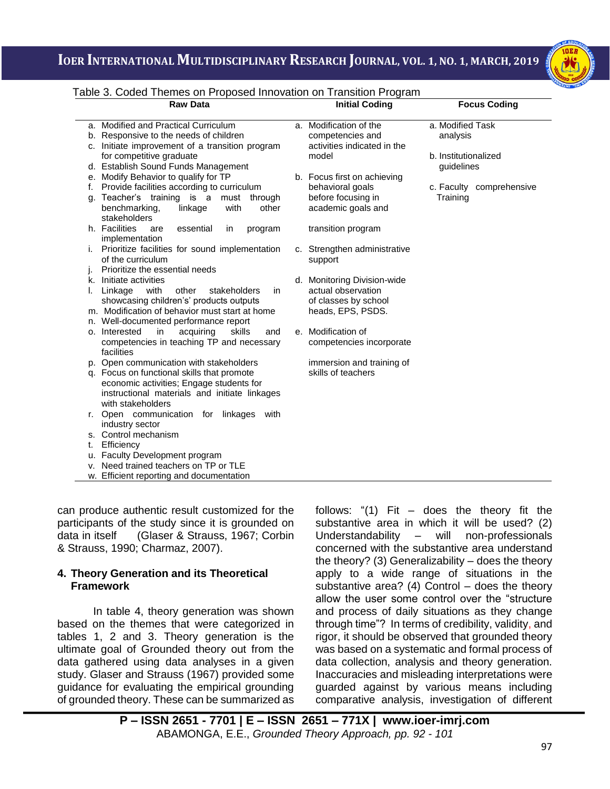

## i<br>I Table 3. Coded Themes on Proposed Innovation on Transition Program

|    | abic 5. Oodca Thomcs on Froposca innovation on Transition Frogram |                              |                          |
|----|-------------------------------------------------------------------|------------------------------|--------------------------|
|    | <b>Raw Data</b>                                                   | <b>Initial Coding</b>        | <b>Focus Coding</b>      |
|    | a. Modified and Practical Curriculum                              | a. Modification of the       | a. Modified Task         |
|    | b. Responsive to the needs of children                            | competencies and             | analysis                 |
|    | c. Initiate improvement of a transition program                   | activities indicated in the  |                          |
|    | for competitive graduate                                          | model                        | b. Institutionalized     |
|    | d. Establish Sound Funds Management                               |                              | guidelines               |
|    | e. Modify Behavior to qualify for TP                              | b. Focus first on achieving  |                          |
| f. | Provide facilities according to curriculum                        | behavioral goals             | c. Faculty comprehensive |
| g. | Teacher's training is a must through                              | before focusing in           | Training                 |
|    | benchmarking,<br>linkage<br>with<br>other                         | academic goals and           |                          |
|    | stakeholders                                                      |                              |                          |
|    | h. Facilities<br>essential<br>are<br>program<br>in                | transition program           |                          |
|    | implementation                                                    |                              |                          |
| Τ. | Prioritize facilities for sound implementation                    | c. Strengthen administrative |                          |
|    | of the curriculum                                                 | support                      |                          |
| ı. | Prioritize the essential needs                                    |                              |                          |
| k. | Initiate activities                                               | d. Monitoring Division-wide  |                          |
| ı. | Linkage<br>with<br>other<br>stakeholders<br>in                    | actual observation           |                          |
|    | showcasing children's' products outputs                           | of classes by school         |                          |
|    | m. Modification of behavior must start at home                    | heads, EPS, PSDS.            |                          |
| n. | Well-documented performance report                                |                              |                          |
|    | o. Interested<br>acquiring<br>skills<br>in<br>and                 | e. Modification of           |                          |
|    | competencies in teaching TP and necessary                         | competencies incorporate     |                          |
|    | facilities                                                        |                              |                          |
|    | p. Open communication with stakeholders                           | immersion and training of    |                          |
|    | q. Focus on functional skills that promote                        | skills of teachers           |                          |
|    | economic activities; Engage students for                          |                              |                          |
|    | instructional materials and initiate linkages                     |                              |                          |
|    | with stakeholders                                                 |                              |                          |
|    | Open communication for linkages<br>with                           |                              |                          |
|    | industry sector                                                   |                              |                          |
|    | s. Control mechanism                                              |                              |                          |
| t. | Efficiency<br>Faculty Development program                         |                              |                          |
| u. | Need trained teachers on TP or TLE                                |                              |                          |
| ν. | w. Efficient reporting and documentation                          |                              |                          |
|    |                                                                   |                              |                          |

can produce authentic result customized for the participants of the study since it is grounded on data in itself (Glaser & Strauss, 1967; Corbin & Strauss, 1990; Charmaz, 2007).

#### **4. Theory Generation and its Theoretical Framework**

In table 4, theory generation was shown based on the themes that were categorized in tables 1, 2 and 3. Theory generation is the ultimate goal of Grounded theory out from the data gathered using data analyses in a given study. Glaser and Strauss (1967) provided some guidance for evaluating the empirical grounding of grounded theory. These can be summarized as follows: "(1) Fit – does the theory fit the substantive area in which it will be used? (2) Understandability – will non-professionals concerned with the substantive area understand the theory? (3) Generalizability – does the theory apply to a wide range of situations in the substantive area?  $(4)$  Control – does the theory allow the user some control over the "structure and process of daily situations as they change through time"? In terms of credibility, validity, and rigor, it should be observed that grounded theory was based on a systematic and formal process of data collection, analysis and theory generation. Inaccuracies and misleading interpretations were guarded against by various means including comparative analysis, investigation of different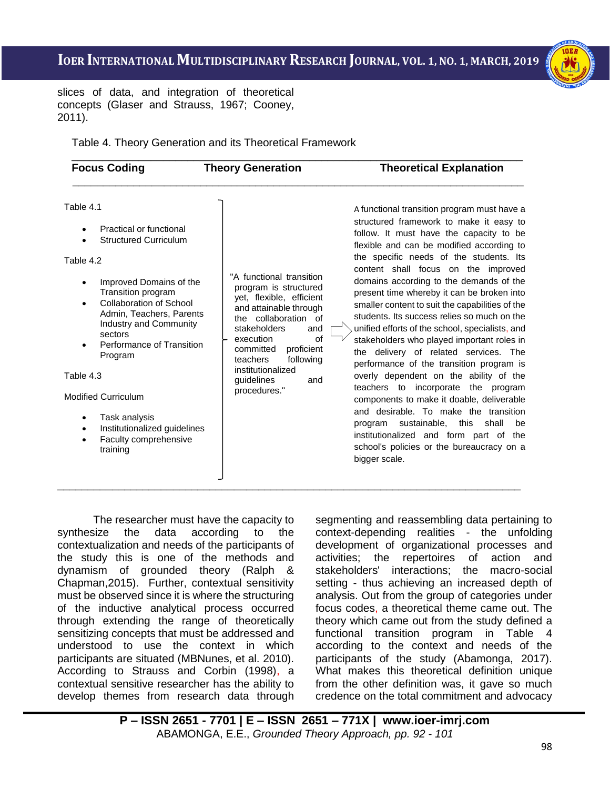i<br>I



slices of data, and integration of theoretical concepts (Glaser and Strauss, 1967; Cooney, 2011).

Table 4. Theory Generation and its Theoretical Framework

| <b>Theory Generation</b> | <b>Theoretical Explanation</b> |
|--------------------------|--------------------------------|
|                          |                                |

#### Table 4.1

- Practical or functional
- Structured Curriculum

Table 4.2

- Improved Domains of the Transition program
- Collaboration of School Admin, Teachers, Parents Industry and Community sectors
- Performance of Transition Program

Table 4.3

Modified Curriculum

- Task analysis
- Institutionalized guidelines
- Faculty comprehensive
- training

"A functional transition program is structured yet, flexible, efficient and attainable through the collaboration of stakeholders and execution of committed proficient teachers following institutionalized guidelines and procedures."

\_\_\_\_\_\_\_\_\_\_\_\_\_\_\_\_\_\_\_\_\_\_\_\_\_\_\_\_\_\_\_\_\_\_\_\_\_\_\_\_\_\_\_\_\_\_\_\_\_\_\_\_\_\_\_\_\_\_\_\_\_\_\_\_\_\_\_\_\_\_\_\_\_\_\_\_

A functional transition program must have a structured framework to make it easy to follow. It must have the capacity to be flexible and can be modified according to the specific needs of the students. Its content shall focus on the improved domains according to the demands of the present time whereby it can be broken into smaller content to suit the capabilities of the students. Its success relies so much on the unified efforts of the school, specialists, and stakeholders who played important roles in the delivery of related services. The performance of the transition program is overly dependent on the ability of the teachers to incorporate the program components to make it doable, deliverable and desirable. To make the transition program sustainable, this shall be institutionalized and form part of the school's policies or the bureaucracy on a bigger scale.

The researcher must have the capacity to synthesize the data according to the contextualization and needs of the participants of the study this is one of the methods and dynamism of grounded theory (Ralph & Chapman,2015). Further, contextual sensitivity must be observed since it is where the structuring of the inductive analytical process occurred through extending the range of theoretically sensitizing concepts that must be addressed and understood to use the context in which participants are situated (MBNunes, et al. 2010). According to Strauss and Corbin (1998), a contextual sensitive researcher has the ability to develop themes from research data through segmenting and reassembling data pertaining to context-depending realities - the unfolding development of organizational processes and activities; the repertoires of action and stakeholders' interactions; the macro-social setting - thus achieving an increased depth of analysis. Out from the group of categories under focus codes, a theoretical theme came out. The theory which came out from the study defined a functional transition program in Table 4 according to the context and needs of the participants of the study (Abamonga, 2017). What makes this theoretical definition unique from the other definition was, it gave so much credence on the total commitment and advocacy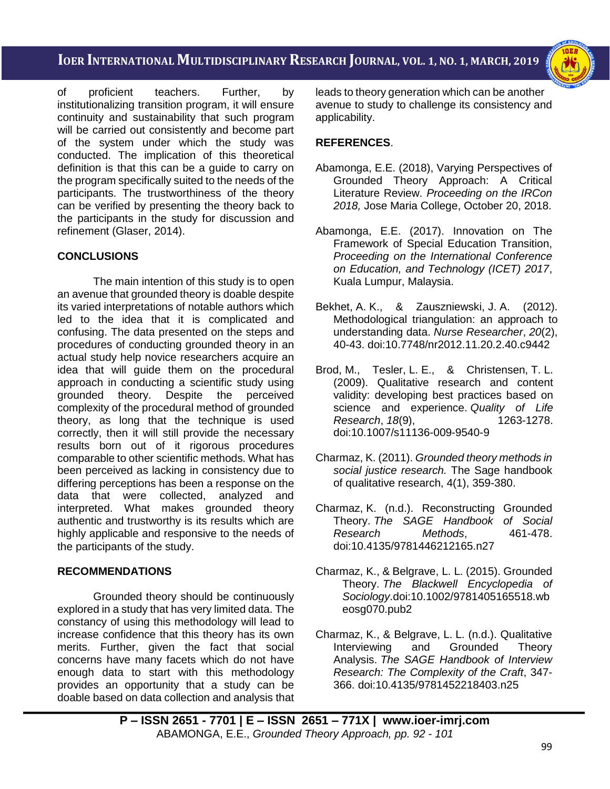i<br>I



of proficient teachers. Further, by institutionalizing transition program, it will ensure continuity and sustainability that such program will be carried out consistently and become part of the system under which the study was conducted. The implication of this theoretical definition is that this can be a guide to carry on the program specifically suited to the needs of the participants. The trustworthiness of the theory can be verified by presenting the theory back to the participants in the study for discussion and refinement (Glaser, 2014).

## **CONCLUSIONS**

The main intention of this study is to open an avenue that grounded theory is doable despite its varied interpretations of notable authors which led to the idea that it is complicated and confusing. The data presented on the steps and procedures of conducting grounded theory in an actual study help novice researchers acquire an idea that will guide them on the procedural approach in conducting a scientific study using grounded theory. Despite the perceived complexity of the procedural method of grounded theory, as long that the technique is used correctly, then it will still provide the necessary results born out of it rigorous procedures comparable to other scientific methods. What has been perceived as lacking in consistency due to differing perceptions has been a response on the data that were collected, analyzed and interpreted. What makes grounded theory authentic and trustworthy is its results which are highly applicable and responsive to the needs of the participants of the study.

## **RECOMMENDATIONS**

Grounded theory should be continuously explored in a study that has very limited data. The constancy of using this methodology will lead to increase confidence that this theory has its own merits. Further, given the fact that social concerns have many facets which do not have enough data to start with this methodology provides an opportunity that a study can be doable based on data collection and analysis that

leads to theory generation which can be another avenue to study to challenge its consistency and applicability.

## **REFERENCES**.

- Abamonga, E.E. (2018), Varying Perspectives of Grounded Theory Approach: A Critical Literature Review. *Proceeding on the IRCon 2018,* Jose Maria College, October 20, 2018.
- Abamonga, E.E. (2017). Innovation on The Framework of Special Education Transition, *Proceeding on the International Conference on Education, and Technology (ICET) 2017*, Kuala Lumpur, Malaysia.
- Bekhet, A. K., & Zauszniewski, J. A. (2012). Methodological triangulation: an approach to understanding data. *Nurse Researcher*, *20*(2), 40-43. doi:10.7748/nr2012.11.20.2.40.c9442
- Brod, M., Tesler, L. E., & Christensen, T. L. (2009). Qualitative research and content validity: developing best practices based on science and experience. *Quality of Life Research*, *18*(9), 1263-1278. doi:10.1007/s11136-009-9540-9
- Charmaz, K. (2011). *Grounded theory methods in social justice research.* The Sage handbook of qualitative research, 4(1), 359-380.
- Charmaz, K. (n.d.). Reconstructing Grounded Theory. *The SAGE Handbook of Social Research Methods*, 461-478. doi:10.4135/9781446212165.n27
- Charmaz, K., & Belgrave, L. L. (2015). Grounded Theory. *The Blackwell Encyclopedia of Sociology*.doi:10.1002/9781405165518.wb eosg070.pub2
- Charmaz, K., & Belgrave, L. L. (n.d.). Qualitative Interviewing and Grounded Theory Analysis. *The SAGE Handbook of Interview Research: The Complexity of the Craft*, 347- 366. doi:10.4135/9781452218403.n25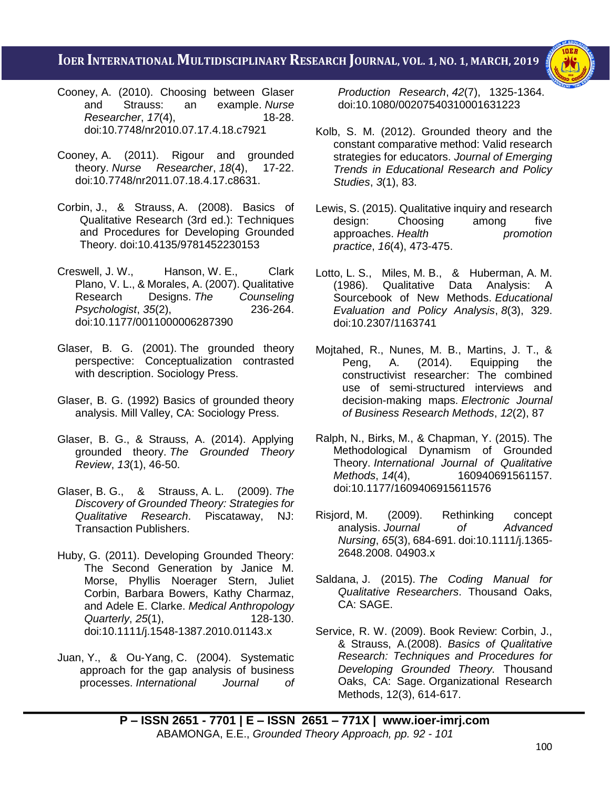i<br>I



- Cooney, A. (2010). Choosing between Glaser and Strauss: an example. *Nurse Researcher*, *17*(4), 18-28. doi:10.7748/nr2010.07.17.4.18.c7921
- Cooney, A. (2011). Rigour and grounded theory. *Nurse Researcher*, *18*(4), 17-22. doi:10.7748/nr2011.07.18.4.17.c8631.
- Corbin, J., & Strauss, A. (2008). Basics of Qualitative Research (3rd ed.): Techniques and Procedures for Developing Grounded Theory. doi:10.4135/9781452230153
- Creswell, J. W., Hanson, W. E., Clark Plano, V. L., & Morales, A. (2007). Qualitative Research Designs. *The Counseling Psychologist*, 35(2), doi:10.1177/0011000006287390
- Glaser, B. G. (2001). The grounded theory perspective: Conceptualization contrasted with description. Sociology Press.
- Glaser, B. G. (1992) Basics of grounded theory analysis. Mill Valley, CA: Sociology Press.
- Glaser, B. G., & Strauss, A. (2014). Applying grounded theory. *The Grounded Theory Review*, *13*(1), 46-50.
- Glaser, B. G., & Strauss, A. L. (2009). *The Discovery of Grounded Theory: Strategies for Qualitative Research*. Piscataway, NJ: Transaction Publishers.
- Huby, G. (2011). Developing Grounded Theory: The Second Generation by Janice M. Morse, Phyllis Noerager Stern, Juliet Corbin, Barbara Bowers, Kathy Charmaz, and Adele E. Clarke. *Medical Anthropology Quarterly*, *25*(1), 128-130. doi:10.1111/j.1548-1387.2010.01143.x
- Juan, Y., & Ou-Yang, C. (2004). Systematic approach for the gap analysis of business processes. *International Journal of*

*Production Research*, *42*(7), 1325-1364. doi:10.1080/00207540310001631223

- Kolb, S. M. (2012). Grounded theory and the constant comparative method: Valid research strategies for educators. *Journal of Emerging Trends in Educational Research and Policy Studies*, *3*(1), 83.
- Lewis, S. (2015). Qualitative inquiry and research design: Choosing among five approaches. *Health promotion practice*, *16*(4), 473-475.
- Lotto, L. S., Miles, M. B., & Huberman, A. M. (1986). Qualitative Data Analysis: A Sourcebook of New Methods. *Educational Evaluation and Policy Analysis*, *8*(3), 329. doi:10.2307/1163741
- Mojtahed, R., Nunes, M. B., Martins, J. T., &<br>Peng, A. (2014). Equipping the Peng, A. (2014). Equipping the constructivist researcher: The combined use of semi-structured interviews and decision-making maps. *Electronic Journal of Business Research Methods*, *12*(2), 87
- Ralph, N., Birks, M., & Chapman, Y. (2015). The Methodological Dynamism of Grounded Theory. *International Journal of Qualitative Methods*, *14*(4), 160940691561157. doi:10.1177/1609406915611576
- Risjord, M. (2009). Rethinking concept analysis. *Journal of Advanced Nursing*, *65*(3), 684-691. doi:10.1111/j.1365- 2648.2008. 04903.x
- Saldana, J. (2015). *The Coding Manual for Qualitative Researchers*. Thousand Oaks, CA: SAGE.
- Service, R. W. (2009). Book Review: Corbin, J., & Strauss, A.(2008). *Basics of Qualitative Research: Techniques and Procedures for Developing Grounded Theory.* Thousand Oaks, CA: Sage. Organizational Research Methods, 12(3), 614-617.